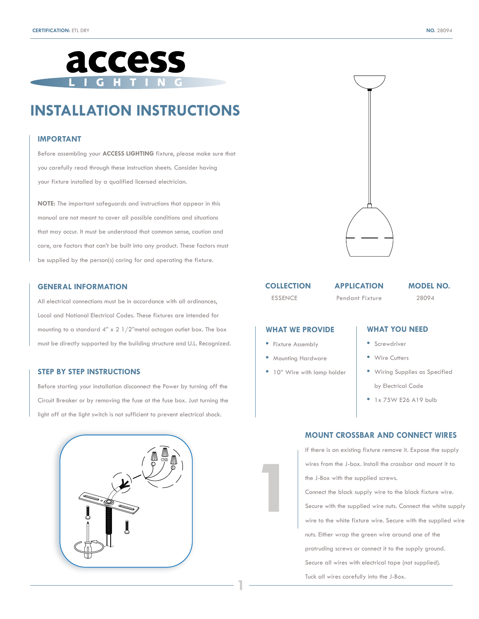

# **INSTALLATION INSTRUCTIONS**

#### **IMPORTANT**

Before assembling your **ACCESS LIGHTING** fixture, please make sure that you carefully read through these instruction sheets. Consider having your fixture installed by a qualified licensed electrician.

**NOTE:** The important safeguards and instructions that appear in this manual are not meant to cover all possible conditions and situations that may occur. It must be understood that common sense, caution and care, are factors that can't be built into any product. These factors must be supplied by the person(s) caring for and operating the fixture.

#### **GENERAL INFORMATION**

All electrical connections must be in accordance with all ordinances, Local and National Electrical Codes. These fixtures are intended for mounting to a standard 4" x 2 1/2"metal octagon outlet box. The box must be directly supported by the building structure and U.L. Recognized.

#### **STEP BY STEP INSTRUCTIONS**

Before starting your installation disconnect the Power by turning off the Circuit Breaker or by removing the fuse at the fuse box. Just turning the light off at the light switch is not sufficient to prevent electrical shock.





#### **COLLECTION**

ESSENCE Pendant Fixture 28094

**APPLICATION MODEL NO.**

# **WHAT WE PROVIDE**

**•** Fixture Assembly

**1**

**1**

- Mounting Hardware
- 10" Wire with lamp holder

# **WHAT YOU NEED**

- Screwdriver
- Wire Cutters
- Wiring Supplies as Specified by Electrical Code
- 1x 75W E26 A19 bulb

## **MOUNT CROSSBAR AND CONNECT WIRES**

If there is an existing fixture remove it. Expose the supply wires from the J-box. Install the crossbar and mount it to the J-Box with the supplied screws. Connect the black supply wire to the black fixture wire.

Secure with the supplied wire nuts. Connect the white supply wire to the white fixture wire. Secure with the supplied wire nuts. Either wrap the green wire around one of the protruding screws or connect it to the supply ground.

Secure all wires with electrical tape (not supplied).

Tuck all wires carefully into the J-Box.